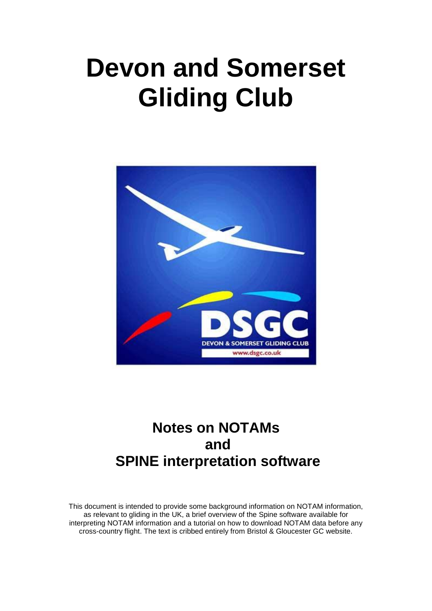# **Devon and Somerset Gliding Club**



## **Notes on NOTAMs and SPINE interpretation software**

This document is intended to provide some background information on NOTAM information, as relevant to gliding in the UK, a brief overview of the Spine software available for interpreting NOTAM information and a tutorial on how to download NOTAM data before any cross-country flight. The text is cribbed entirely from Bristol & Gloucester GC website.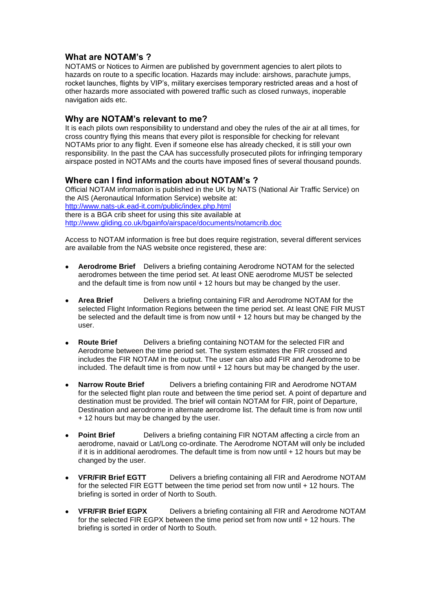#### **What are NOTAM's ?**

NOTAMS or Notices to Airmen are published by government agencies to alert pilots to hazards on route to a specific location. Hazards may include: airshows, parachute jumps, rocket launches, flights by VIP"s, military exercises temporary restricted areas and a host of other hazards more associated with powered traffic such as closed runways, inoperable navigation aids etc.

#### **Why are NOTAM's relevant to me?**

It is each pilots own responsibility to understand and obey the rules of the air at all times, for cross country flying this means that every pilot is responsible for checking for relevant NOTAMs prior to any flight. Even if someone else has already checked, it is still your own responsibility. In the past the CAA has successfully prosecuted pilots for infringing temporary airspace posted in NOTAMs and the courts have imposed fines of several thousand pounds.

#### **Where can I find information about NOTAM's ?**

Official NOTAM information is published in the UK by NATS (National Air Traffic Service) on the AIS (Aeronautical Information Service) website at: http://www.nats-uk.ead-it.com/public/index.php.html there is a BGA crib sheet for using this site available at http://www.gliding.co.uk/bgainfo/airspace/documents/notamcrib.doc

Access to NOTAM information is free but does require registration, several different services are available from the NAS website once registered, these are:

- **Aerodrome Brief** Delivers a briefing containing Aerodrome NOTAM for the selected  $\bullet$ aerodromes between the time period set. At least ONE aerodrome MUST be selected and the default time is from now until + 12 hours but may be changed by the user.
- **Area Brief** Delivers a briefing containing FIR and Aerodrome NOTAM for the selected Flight Information Regions between the time period set. At least ONE FIR MUST be selected and the default time is from now until + 12 hours but may be changed by the user.
- **Route Brief** Delivers a briefing containing NOTAM for the selected FIR and Aerodrome between the time period set. The system estimates the FIR crossed and includes the FIR NOTAM in the output. The user can also add FIR and Aerodrome to be included. The default time is from now until + 12 hours but may be changed by the user.
- **Narrow Route Brief** Delivers a briefing containing FIR and Aerodrome NOTAM for the selected flight plan route and between the time period set. A point of departure and destination must be provided. The brief will contain NOTAM for FIR, point of Departure, Destination and aerodrome in alternate aerodrome list. The default time is from now until + 12 hours but may be changed by the user.
- $\bullet$ **Point Brief**  Delivers a briefing containing FIR NOTAM affecting a circle from an aerodrome, navaid or Lat/Long co-ordinate. The Aerodrome NOTAM will only be included if it is in additional aerodromes. The default time is from now until + 12 hours but may be changed by the user.
- **VFR/FIR Brief EGTT** Delivers a briefing containing all FIR and Aerodrome NOTAM  $\bullet$ for the selected FIR EGTT between the time period set from now until + 12 hours. The briefing is sorted in order of North to South.
- **VFR/FIR Brief EGPX** Delivers a briefing containing all FIR and Aerodrome NOTAM for the selected FIR EGPX between the time period set from now until + 12 hours. The briefing is sorted in order of North to South.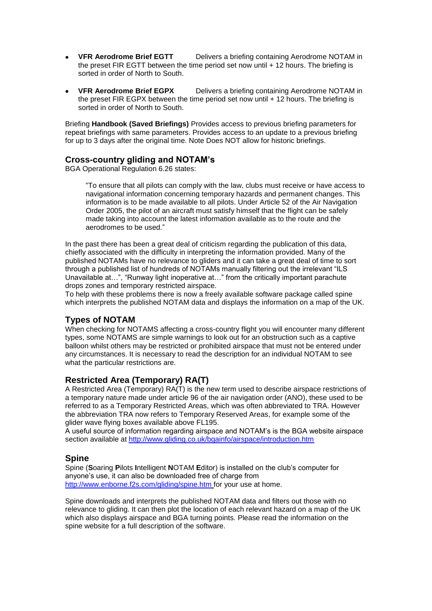- **VFR Aerodrome Brief EGTT** Delivers a briefing containing Aerodrome NOTAM in the preset FIR EGTT between the time period set now until + 12 hours. The briefing is sorted in order of North to South.
- **VFR Aerodrome Brief EGPX** Delivers a briefing containing Aerodrome NOTAM in the preset FIR EGPX between the time period set now until + 12 hours. The briefing is sorted in order of North to South.

Briefing **Handbook (Saved Briefings)** Provides access to previous briefing parameters for repeat briefings with same parameters. Provides access to an update to a previous briefing for up to 3 days after the original time. Note Does NOT allow for historic briefings.

#### **Cross-country gliding and NOTAM's**

BGA Operational Regulation 6.26 states:

"To ensure that all pilots can comply with the law, clubs must receive or have access to navigational information concerning temporary hazards and permanent changes. This information is to be made available to all pilots. Under Article 52 of the Air Navigation Order 2005, the pilot of an aircraft must satisfy himself that the flight can be safely made taking into account the latest information available as to the route and the aerodromes to be used."

In the past there has been a great deal of criticism regarding the publication of this data, chiefly associated with the difficulty in interpreting the information provided. Many of the published NOTAMs have no relevance to gliders and it can take a great deal of time to sort through a published list of hundreds of NOTAMs manually filtering out the irrelevant "ILS Unavailable at…", "Runway light inoperative at…" from the critically important parachute drops zones and temporary restricted airspace.

To help with these problems there is now a freely available software package called spine which interprets the published NOTAM data and displays the information on a map of the UK.

#### **Types of NOTAM**

When checking for NOTAMS affecting a cross-country flight you will encounter many different types, some NOTAMS are simple warnings to look out for an obstruction such as a captive balloon whilst others may be restricted or prohibited airspace that must not be entered under any circumstances. It is necessary to read the description for an individual NOTAM to see what the particular restrictions are.

#### **Restricted Area (Temporary) RA(T)**

A Restricted Area (Temporary) RA(T) is the new term used to describe airspace restrictions of a temporary nature made under article 96 of the air navigation order (ANO), these used to be referred to as a Temporary Restricted Areas, which was often abbreviated to TRA. However the abbreviation TRA now refers to Temporary Reserved Areas, for example some of the glider wave flying boxes available above FL195.

A useful source of information regarding airspace and NOTAM"s is the BGA website airspace section available at http://www.gliding.co.uk/bgainfo/airspace/introduction.htm

#### **Spine**

Spine (**S**oaring **P**ilots **I**ntelligent **N**OTAM **E**ditor) is installed on the club"s computer for anyone"s use, it can also be downloaded free of charge from http://www.enborne.f2s.com/gliding/spine.htm for your use at home.

Spine downloads and interprets the published NOTAM data and filters out those with no relevance to gliding. It can then plot the location of each relevant hazard on a map of the UK which also displays airspace and BGA turning points. Please read the information on the spine website for a full description of the software.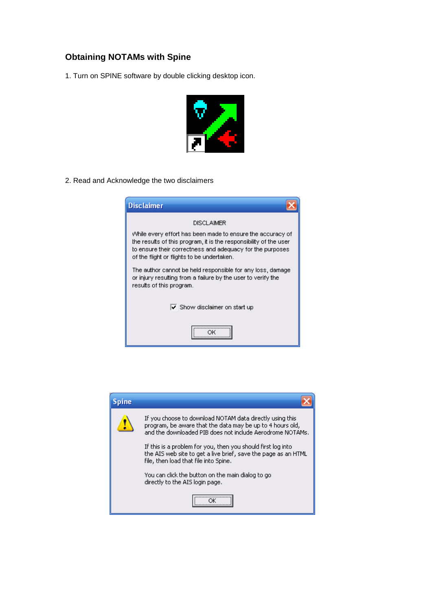### **Obtaining NOTAMs with Spine**

1. Turn on SPINE software by double clicking desktop icon.



2. Read and Acknowledge the two disclaimers

| <b>Disclaimer</b>                                                                                                                                                                                                                          |
|--------------------------------------------------------------------------------------------------------------------------------------------------------------------------------------------------------------------------------------------|
| <b>DISCLAIMER</b>                                                                                                                                                                                                                          |
| While every effort has been made to ensure the accuracy of<br>the results of this program, it is the responsibility of the user<br>to ensure their correctness and adequacy for the purposes<br>of the flight or flights to be undertaken. |
| The author cannot be held responsible for any loss, damage<br>or injury resulting from a failure by the user to verify the<br>results of this program.                                                                                     |
| $\overline{\mathsf{v}}$ Show disclaimer on start up                                                                                                                                                                                        |
|                                                                                                                                                                                                                                            |

| pine |                                                                                                                                                                                    |
|------|------------------------------------------------------------------------------------------------------------------------------------------------------------------------------------|
|      | If you choose to download NOTAM data directly using this<br>program, be aware that the data may be up to 4 hours old,<br>and the downloaded PIB does not include Aerodrome NOTAMs. |
|      | If this is a problem for you, then you should first log into<br>the AIS web site to get a live brief, save the page as an HTML<br>file, then load that file into Spine.            |
|      | You can click the button on the main dialog to go<br>directly to the AIS login page.                                                                                               |
|      |                                                                                                                                                                                    |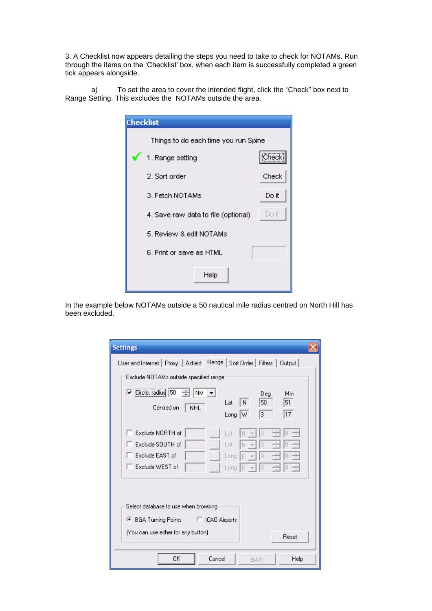3. A Checklist now appears detailing the steps you need to take to check for NOTAMs. Run through the items on the "Checklist" box, when each item is successfully completed a green tick appears alongside.

a) To set the area to cover the intended flight, click the "Check" box next to Range Setting. This excludes the NOTAMs outside the area.

| <b>Checklist</b> |                                       |       |
|------------------|---------------------------------------|-------|
|                  | Things to do each time you run Spine. |       |
|                  | 1. Range setting                      | Check |
|                  | 2. Sort order                         | Check |
|                  | 3. Fetch NOTAMs                       | Do it |
|                  | 4. Save raw data to file (optional)   | Do it |
|                  | 5. Review & edit NOTAMs               |       |
|                  | 6. Print or save as HTML.             |       |
|                  | Help                                  |       |

In the example below NOTAMs outside a 50 nautical mile radius centred on North Hill has been excluded.

| <b>Settings</b>                                                                                                                                                                                 |  |  |
|-------------------------------------------------------------------------------------------------------------------------------------------------------------------------------------------------|--|--|
| User and Internet   Proxy   Airfield   Range   Sort Order   Filters  <br>Output                                                                                                                 |  |  |
| Exclude NOTAMs outside specified range                                                                                                                                                          |  |  |
| $\vert\overline{\mathbf{v}}\vert$ Circle, radius $\vert$ 50<br>÷<br>NM.<br>$\vert \mathbf{v} \vert$<br>Min<br>Deg<br>51<br>50<br>N<br>Lat<br>Centred on<br><b>NHL</b><br>3<br>17<br>IW.<br>Long |  |  |
| Exclude NORTH of<br>Ū<br>Lat<br>N<br>Exclude SOUTH of<br>Lat<br>O<br>N<br>$\cdots$<br>Exclude EAST of<br>Ω<br>Long<br>E<br>$\cdots$<br>Exclude WEST of<br>10<br>Long<br>IE<br>$\cdots$          |  |  |
| Select database to use when browsing<br>● BGA Turning Points ● ○ ICAO Airports<br>(You can use either for any button)<br><b>Beset</b>                                                           |  |  |
| Cancel<br>0K<br>Help<br>Apply                                                                                                                                                                   |  |  |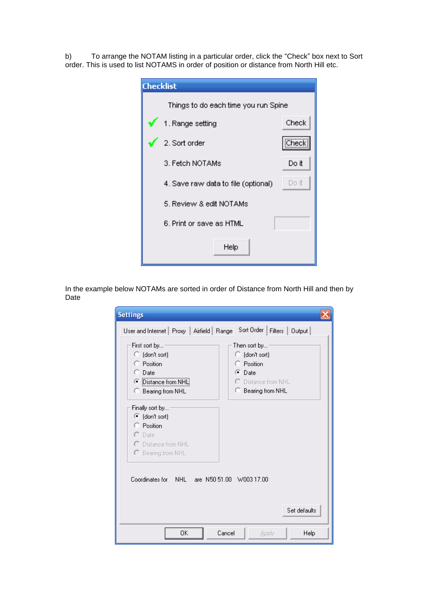b) To arrange the NOTAM listing in a particular order, click the "Check" box next to Sort order. This is used to list NOTAMS in order of position or distance from North Hill etc.

| <b>Checklist</b>                     |       |
|--------------------------------------|-------|
| Things to do each time you run Spine |       |
| 1. Range setting                     | Check |
| 2. Sort order                        | Check |
| 3. Fetch NOTAMs                      | Do it |
| 4. Save raw data to file (optional)  | Do it |
| 5. Review & edit NOTAMs              |       |
| 6. Print or save as HTML             |       |
| Help                                 |       |

In the example below NOTAMs are sorted in order of Distance from North Hill and then by Date

| <b>Settings</b>                                                                                              |                                                                                                             |  |
|--------------------------------------------------------------------------------------------------------------|-------------------------------------------------------------------------------------------------------------|--|
| User and Internet   Proxy   Airfield   Range                                                                 | Sort Order  <br>Filters   Output                                                                            |  |
| First sort by<br>C (don't sort)<br>C Position<br>$\Box$ Date<br>Distance from NHL<br>C Bearing from NHL      | Then sort by<br>C (don't sort)<br>C Position<br>$\bullet$ Date<br>C Distance from NHL<br>C Bearing from NHL |  |
| Finally sort by<br>C (don't sort)<br>C Position<br>$\circ$ Date<br>C Distance from NHL<br>C Bearing from NHL |                                                                                                             |  |
| Coordinates for NHL are N50.51.00 W003.17.00                                                                 |                                                                                                             |  |
|                                                                                                              | Set defaults                                                                                                |  |
| 0K                                                                                                           | Cancel<br>Help<br>Apply                                                                                     |  |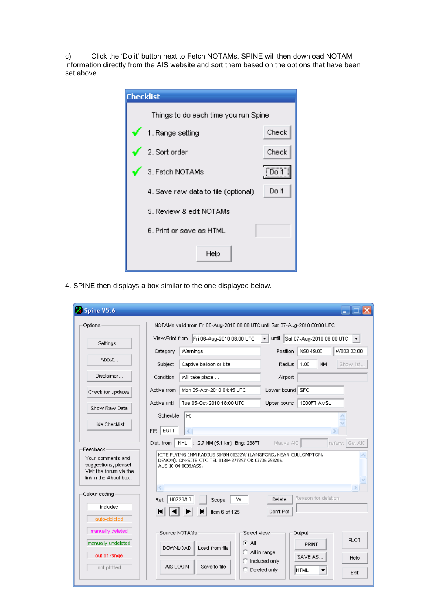c) Click the "Do it" button next to Fetch NOTAMs. SPINE will then download NOTAM information directly from the AIS website and sort them based on the options that have been set above.

| <b>Checklist</b>                     |       |
|--------------------------------------|-------|
| Things to do each time you run Spine |       |
| $\sqrt{1}$ . Range setting           | Check |
| 2. Sort order                        | Check |
| $\bigtriangledown$ 3. Fetch NOTAMs   | [Dont |
| 4. Save raw data to file (optional)  | Do it |
| 5. Review & edit NOTAMs              |       |
| 6. Print or save as HTML             |       |
| Help                                 |       |

4. SPINE then displays a box similar to the one displayed below.

| 2 Spine V5.6                                                                                                                                                                                                                                                                                                                                                          | ا کال ک                                                                                                   |  |
|-----------------------------------------------------------------------------------------------------------------------------------------------------------------------------------------------------------------------------------------------------------------------------------------------------------------------------------------------------------------------|-----------------------------------------------------------------------------------------------------------|--|
| Options                                                                                                                                                                                                                                                                                                                                                               | NOTAMs valid from Fri 06-Aug-2010 08:00 UTC until Sat 07-Aug-2010 08:00 UTC                               |  |
| Settings                                                                                                                                                                                                                                                                                                                                                              | View/Print from Fri 06-Aug-2010 08:00 UTC<br>until Sat 07-Aug-2010 08:00 UTC<br>$\overline{\phantom{a}}$  |  |
| About                                                                                                                                                                                                                                                                                                                                                                 | N50 49.00<br>VV003 22.00<br>Warnings<br>Position<br>Category                                              |  |
|                                                                                                                                                                                                                                                                                                                                                                       | 1.00<br>Subject<br>Captive balloon or kite<br>Radius<br><b>NM</b><br>Show list                            |  |
| Disclaimer                                                                                                                                                                                                                                                                                                                                                            | Condition<br>Will take place<br>Airport                                                                   |  |
| Check for updates                                                                                                                                                                                                                                                                                                                                                     | Mon 05-Apr-2010 04:45 UTC<br>Lower bound<br><b>SFC</b><br>Active from                                     |  |
| Show Raw Data                                                                                                                                                                                                                                                                                                                                                         | Tue 05-Oct-2010 18:00 UTC<br>Upper bound<br>1000FT AMSL<br>Active until                                   |  |
| <b>Hide Checklist</b>                                                                                                                                                                                                                                                                                                                                                 | Schedule<br>HJ<br>EGTT<br>FIR.<br>◁                                                                       |  |
| <b>NHL</b><br>: $2.7$ NM (5.1 km) Bng: $238^{\circ}$ T<br>Dist. from<br>Mauve AIC<br>refers: Get AIC<br>Feedback<br>KITE FLYING 1NM RADIUS 5049N 00322W (LANGFORD, NEAR CULLOMPTON,<br>Your comments and<br>DEVON), ON-SITE CTC TEL 01884 277297 OR 07736 258206,<br>suggestions, please!<br>AUS 10-04-0039/AS5.<br>Visit the forum via the<br>link in the About box. |                                                                                                           |  |
| $\langle$<br>Colour coding<br>H0726/10<br>Ref:<br>$\ldots$<br>included<br>Н<br>auto-deleted                                                                                                                                                                                                                                                                           | Reason for deletion<br>W<br>Delete<br>Scope:<br>Don't Plot<br>Item 6 of 125                               |  |
| manually deleted                                                                                                                                                                                                                                                                                                                                                      | Source NOTAMs<br>Select view<br>Output<br><b>PLOT</b>                                                     |  |
| manually undeleted                                                                                                                                                                                                                                                                                                                                                    | ⊕ All<br>PRINT<br><b>DOWNLOAD</b><br>Load from file<br>All in range<br>Ю                                  |  |
| out of range<br>not plotted                                                                                                                                                                                                                                                                                                                                           | SAVE AS<br>Help<br>Included only<br>AIS LOGIN<br>Save to file<br>Deleted only<br><b>HTML</b><br>O<br>Exit |  |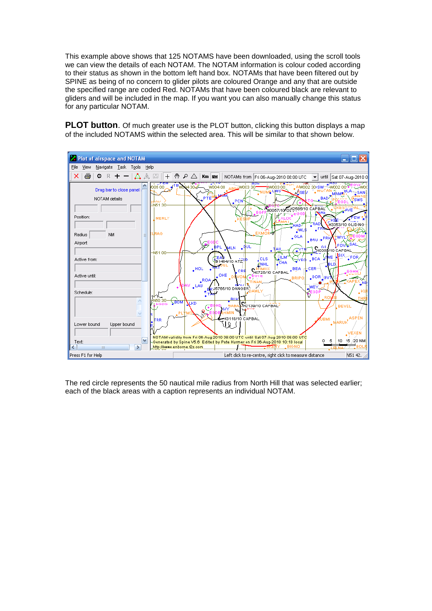This example above shows that 125 NOTAMS have been downloaded, using the scroll tools we can view the details of each NOTAM. The NOTAM information is colour coded according to their status as shown in the bottom left hand box. NOTAMs that have been filtered out by SPINE as being of no concern to glider pilots are coloured Orange and any that are outside the specified range are coded Red. NOTAMs that have been coloured black are relevant to gliders and will be included in the map. If you want you can also manually change this status for any particular NOTAM.

**PLOT button**. Of much greater use is the PLOT button, clicking this button displays a map of the included NOTAMS within the selected area. This will be similar to that shown below.



The red circle represents the 50 nautical mile radius from North Hill that was selected earlier; each of the black areas with a caption represents an individual NOTAM.